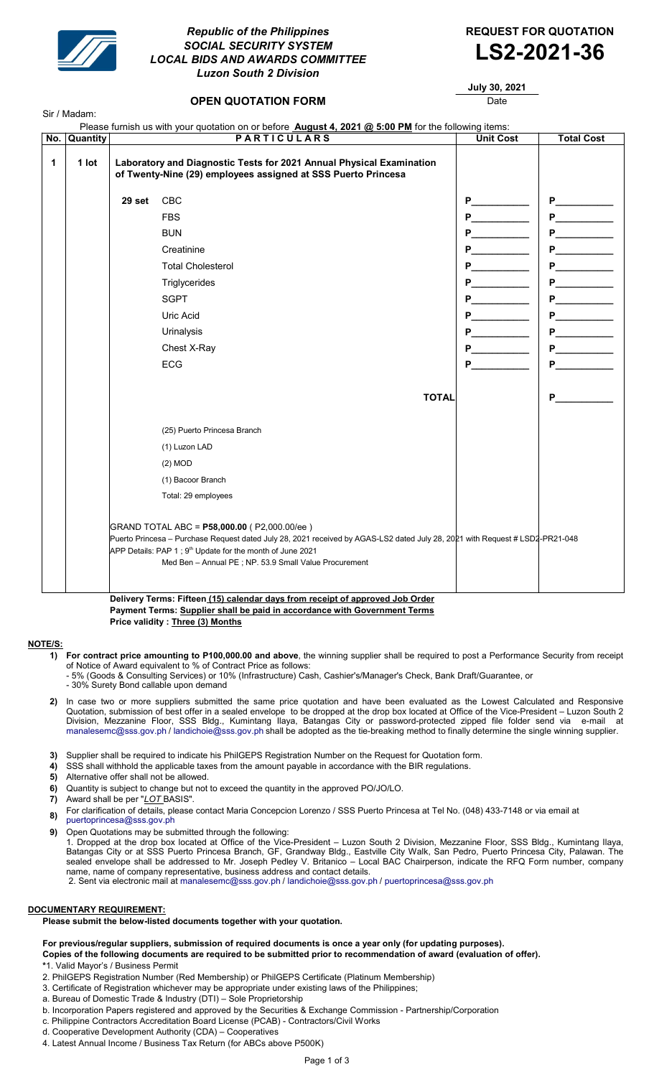

Sir / Madam:

# Republic of the Philippines **REQUEST FOR QUOTATION** SOCIAL SECURITY SYSTEM LOCAL BIDS AND AWARDS COMMITTEE **LS2-2021-36** Luzon South 2 Division



July 30, 2021

## **OPEN QUOTATION FORM DATE:** Date

| No. | Quantity | <b>PARTICULARS</b>                                                                                                                                                                                                                                                                                            |                                                                                                                                       | <b>Unit Cost</b>                                                                                                                                                                                                                    | <b>Total Cost</b>                                                                                                                                                                                                                   |
|-----|----------|---------------------------------------------------------------------------------------------------------------------------------------------------------------------------------------------------------------------------------------------------------------------------------------------------------------|---------------------------------------------------------------------------------------------------------------------------------------|-------------------------------------------------------------------------------------------------------------------------------------------------------------------------------------------------------------------------------------|-------------------------------------------------------------------------------------------------------------------------------------------------------------------------------------------------------------------------------------|
| 1   | 1 lot    |                                                                                                                                                                                                                                                                                                               | Laboratory and Diagnostic Tests for 2021 Annual Physical Examination<br>of Twenty-Nine (29) employees assigned at SSS Puerto Princesa |                                                                                                                                                                                                                                     |                                                                                                                                                                                                                                     |
|     |          | 29 set                                                                                                                                                                                                                                                                                                        | CBC                                                                                                                                   | P.                                                                                                                                                                                                                                  |                                                                                                                                                                                                                                     |
|     |          |                                                                                                                                                                                                                                                                                                               | <b>FBS</b>                                                                                                                            | <b>P</b> and the set of the set of the set of the set of the set of the set of the set of the set of the set of the set of the set of the set of the set of the set of the set of the set of the set of the set of the set of the s |                                                                                                                                                                                                                                     |
|     |          |                                                                                                                                                                                                                                                                                                               | <b>BUN</b>                                                                                                                            | P.                                                                                                                                                                                                                                  | <b>P___________</b>                                                                                                                                                                                                                 |
|     |          |                                                                                                                                                                                                                                                                                                               | Creatinine                                                                                                                            |                                                                                                                                                                                                                                     | <b>P___________</b>                                                                                                                                                                                                                 |
|     |          |                                                                                                                                                                                                                                                                                                               | <b>Total Cholesterol</b>                                                                                                              | P                                                                                                                                                                                                                                   |                                                                                                                                                                                                                                     |
|     |          |                                                                                                                                                                                                                                                                                                               | Triglycerides                                                                                                                         | P.                                                                                                                                                                                                                                  | <b>P___________</b>                                                                                                                                                                                                                 |
|     |          |                                                                                                                                                                                                                                                                                                               | <b>SGPT</b>                                                                                                                           | P                                                                                                                                                                                                                                   | <b>P__________</b>                                                                                                                                                                                                                  |
|     |          |                                                                                                                                                                                                                                                                                                               | Uric Acid                                                                                                                             | P.                                                                                                                                                                                                                                  | <b>P____________</b>                                                                                                                                                                                                                |
|     |          |                                                                                                                                                                                                                                                                                                               | Urinalysis                                                                                                                            |                                                                                                                                                                                                                                     |                                                                                                                                                                                                                                     |
|     |          |                                                                                                                                                                                                                                                                                                               | Chest X-Ray                                                                                                                           | P                                                                                                                                                                                                                                   | <b>P___________</b>                                                                                                                                                                                                                 |
|     |          |                                                                                                                                                                                                                                                                                                               | <b>ECG</b>                                                                                                                            | P                                                                                                                                                                                                                                   | <b>P___________</b>                                                                                                                                                                                                                 |
|     |          |                                                                                                                                                                                                                                                                                                               | <b>TOTAL</b>                                                                                                                          |                                                                                                                                                                                                                                     | <b>P</b> and the set of the set of the set of the set of the set of the set of the set of the set of the set of the set of the set of the set of the set of the set of the set of the set of the set of the set of the set of the s |
|     |          |                                                                                                                                                                                                                                                                                                               | (25) Puerto Princesa Branch                                                                                                           |                                                                                                                                                                                                                                     |                                                                                                                                                                                                                                     |
|     |          |                                                                                                                                                                                                                                                                                                               | (1) Luzon LAD                                                                                                                         |                                                                                                                                                                                                                                     |                                                                                                                                                                                                                                     |
|     |          |                                                                                                                                                                                                                                                                                                               | (2) MOD                                                                                                                               |                                                                                                                                                                                                                                     |                                                                                                                                                                                                                                     |
|     |          |                                                                                                                                                                                                                                                                                                               | (1) Bacoor Branch                                                                                                                     |                                                                                                                                                                                                                                     |                                                                                                                                                                                                                                     |
|     |          |                                                                                                                                                                                                                                                                                                               | Total: 29 employees                                                                                                                   |                                                                                                                                                                                                                                     |                                                                                                                                                                                                                                     |
|     |          | GRAND TOTAL ABC = P58,000.00 (P2,000.00/ee)<br>Puerto Princesa - Purchase Request dated July 28, 2021 received by AGAS-LS2 dated July 28, 2021 with Request # LSD2-PR21-048<br>APP Details: PAP 1; 9 <sup>th</sup> Update for the month of June 2021<br>Med Ben - Annual PE; NP. 53.9 Small Value Procurement |                                                                                                                                       |                                                                                                                                                                                                                                     |                                                                                                                                                                                                                                     |

Delivery Terms: Fifteen (15) calendar days from receipt of approved Job Order Payment Terms: Supplier shall be paid in accordance with Government Terms Price validity : Three (3) Months

## NOTE/S:

1) For contract price amounting to P100,000.00 and above, the winning supplier shall be required to post a Performance Security from receipt of Notice of Award equivalent to % of Contract Price as follows:

- 5% (Goods & Consulting Services) or 10% (Infrastructure) Cash, Cashier's/Manager's Check, Bank Draft/Guarantee, or

- 30% Surety Bond callable upon demand

- 2) In case two or more suppliers submitted the same price quotation and have been evaluated as the Lowest Calculated and Responsive Quotation, submission of best offer in a sealed envelope to be dropped at the drop box located at Office of the Vice-President – Luzon South 2 Division, Mezzanine Floor, SSS Bldg., Kumintang Ilaya, Batangas City or password-protected zipped file folder send via e-mail at manalesemc@sss.gov.ph / landichoie@sss.gov.ph shall be adopted as the tie-breaking method to finally determine the single winning supplier.
- 3) Supplier shall be required to indicate his PhilGEPS Registration Number on the Request for Quotation form.
- 4) SSS shall withhold the applicable taxes from the amount payable in accordance with the BIR regulations.
- 5) Alternative offer shall not be allowed.
- 6) Quantity is subject to change but not to exceed the quantity in the approved PO/JO/LO.
- 7) Award shall be per "LOT BASIS".
- 8) For clarification of details, please contact Maria Concepcion Lorenzo / SSS Puerto Princesa at Tel No. (048) 433-7148 or via email at
- puertoprincesa@sss.gov.ph

9) Open Quotations may be submitted through the following: 1. Dropped at the drop box located at Office of the Vice-President – Luzon South 2 Division, Mezzanine Floor, SSS Bldg., Kumintang Ilaya, Batangas City or at SSS Puerto Princesa Branch, GF, Grandway Bldg., Eastville City Walk, San Pedro, Puerto Princesa City, Palawan. The sealed envelope shall be addressed to Mr. Joseph Pedley V. Britanico – Local BAC Chairperson, indicate the RFQ Form number, company name, name of company representative, business address and contact details. 2. Sent via electronic mail at manalesemc@sss.gov.ph / landichoie@sss.gov.ph / puertoprincesa@sss.gov.ph

## DOCUMENTARY REQUIREMENT:

Please submit the below-listed documents together with your quotation.

### For previous/regular suppliers, submission of required documents is once a year only (for updating purposes). Copies of the following documents are required to be submitted prior to recommendation of award (evaluation of offer).

- \*1. Valid Mayor's / Business Permit
- 2. PhilGEPS Registration Number (Red Membership) or PhilGEPS Certificate (Platinum Membership)
- 3. Certificate of Registration whichever may be appropriate under existing laws of the Philippines;
- a. Bureau of Domestic Trade & Industry (DTI) Sole Proprietorship
- b. Incorporation Papers registered and approved by the Securities & Exchange Commission Partnership/Corporation
- c. Philippine Contractors Accreditation Board License (PCAB) Contractors/Civil Works d. Cooperative Development Authority (CDA) – Cooperatives
- 4. Latest Annual Income / Business Tax Return (for ABCs above P500K)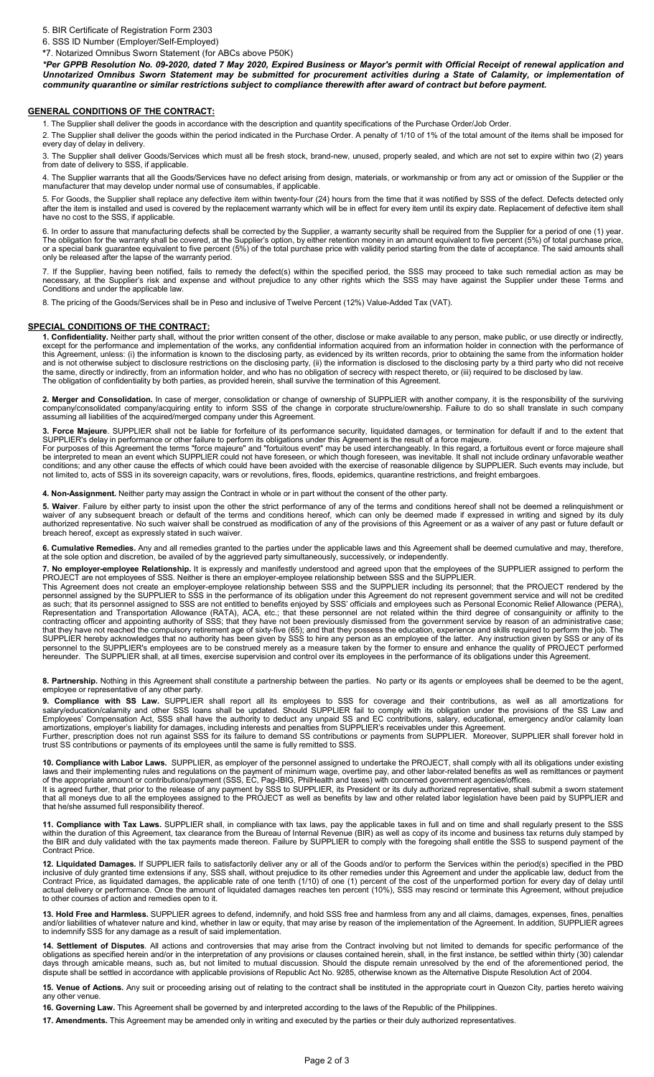### 5. BIR Certificate of Registration Form 2303

6. SSS ID Number (Employer/Self-Employed)

\*7. Notarized Omnibus Sworn Statement (for ABCs above P50K)

\*Per GPPB Resolution No. 09-2020, dated 7 May 2020, Expired Business or Mayor's permit with Official Receipt of renewal application and Unnotarized Omnibus Sworn Statement may be submitted for procurement activities during a State of Calamity, or implementation of community quarantine or similar restrictions subject to compliance therewith after award of contract but before payment.

### GENERAL CONDITIONS OF THE CONTRACT:

1. The Supplier shall deliver the goods in accordance with the description and quantity specifications of the Purchase Order/Job Order.

2. The Supplier shall deliver the goods within the period indicated in the Purchase Order. A penalty of 1/10 of 1% of the total amount of the items shall be imposed for every day of delay in delivery.

3. The Supplier shall deliver Goods/Services which must all be fresh stock, brand-new, unused, properly sealed, and which are not set to expire within two (2) years from date of delivery to SSS, if applicable.

4. The Supplier warrants that all the Goods/Services have no defect arising from design, materials, or workmanship or from any act or omission of the Supplier or the manufacturer that may develop under normal use of consumables, if applicable.

5. For Goods, the Supplier shall replace any defective item within twenty-four (24) hours from the time that it was notified by SSS of the defect. Defects detected only after the item is installed and used is covered by the replacement warranty which will be in effect for every item until its expiry date. Replacement of defective item shall have no cost to the SSS, if applicable.

6. In order to assure that manufacturing defects shall be corrected by the Supplier, a warranty security shall be required from the Supplier for a period of one (1) year. The obligation for the warranty shall be covered, at the Supplier's option, by either retention money in an amount equivalent to five percent (5%) of total purchase price, or a special bank guarantee equivalent to five percent (5%) of the total purchase price with validity period starting from the date of acceptance. The said amounts shall only be released after the lapse of the warranty period.

7. If the Supplier, having been notified, fails to remedy the defect(s) within the specified period, the SSS may proceed to take such remedial action as may be necessary, at the Supplier's risk and expense and without prejudice to any other rights which the SSS may have against the Supplier under these Terms and Conditions and under the applicable law.

8. The pricing of the Goods/Services shall be in Peso and inclusive of Twelve Percent (12%) Value-Added Tax (VAT).

### SPECIAL CONDITIONS OF THE CONTRACT:

1. Confidentiality. Neither party shall, without the prior written consent of the other, disclose or make available to any person, make public, or use directly or indirectly, except for the performance and implementation of the works, any confidential information acquired from an information holder in connection with the performance of this Agreement, unless: (i) the information is known to the disclosing party, as evidenced by its written records, prior to obtaining the same from the information holder and is not otherwise subject to disclosure restrictions on the disclosing party, (ii) the information is disclosed to the disclosing party by a third party who did not receive the same, directly or indirectly, from an information holder, and who has no obligation of secrecy with respect thereto, or (iii) required to be disclosed by law. The obligation of confidentiality by both parties, as provided herein, shall survive the termination of this Agreement.

2. Merger and Consolidation. In case of merger, consolidation or change of ownership of SUPPLIER with another company, it is the responsibility of the surviving company/consolidated company/acquiring entity to inform SSS of the change in corporate structure/ownership. Failure to do so shall translate in such company assuming all liabilities of the acquired/merged company under this Agreement.

Force Majeure. SUPPLIER shall not be liable for forfeiture of its performance security, liquidated damages, or termination for default if and to the extent that SUPPLIER's delay in performance or other failure to perform its obligations under this Agreement is the result of a force majeure.

For purposes of this Agreement the terms "force majeure" and "fortuitous event" may be used interchangeably. In this regard, a fortuitous event or force majeure shall be interpreted to mean an event which SUPPLIER could not have foreseen, or which though foreseen, was inevitable. It shall not include ordinary unfavorable weather conditions; and any other cause the effects of which could have been avoided with the exercise of reasonable diligence by SUPPLIER. Such events may include, but not limited to, acts of SSS in its sovereign capacity, wars or revolutions, fires, floods, epidemics, quarantine restrictions, and freight embargoes.

4. Non-Assignment. Neither party may assign the Contract in whole or in part without the consent of the other party.

trust SS contributions or payments of its employees until the same is fully remitted to SSS.

5. Waiver. Failure by either party to insist upon the other the strict performance of any of the terms and conditions hereof shall not be deemed a relinquishment or waiver of any subsequent breach or default of the terms and conditions hereof, which can only be deemed made if expressed in writing and signed by its duly authorized representative. No such waiver shall be construed as modification of any of the provisions of this Agreement or as a waiver of any past or future default or breach hereof, except as expressly stated in such waiver.

6. Cumulative Remedies. Any and all remedies granted to the parties under the applicable laws and this Agreement shall be deemed cumulative and may, therefore, at the sole option and discretion, be availed of by the aggrieved party simultaneously, successively, or independently.

7. No employer-employee Relationship. It is expressly and manifestly understood and agreed upon that the employees of the SUPPLIER assigned to perform the PROJECT are not employees of SSS. Neither is there an employer-employee relationship between SSS and the SUPPLIER.

This Agreement does not create an employer-employee relationship between SSS and the SUPPLIER including its personnel; that the PROJECT rendered by the personnel assigned by the SUPPLIER to SSS in the performance of its obligation under this Agreement do not represent government service and will not be credited as such; that its personnel assigned to SSS are not entitled to benefits enjoyed by SSS' officials and employees such as Personal Economic Relief Allowance (PERA), Representation and Transportation Allowance (RATA), ACA, etc.; that these personnel are not related within the third degree of consanguinity or affinity to the contracting officer and appointing authority of SSS; that they have not been previously dismissed from the government service by reason of an administrative case; that they have not reached the compulsory retirement age of sixty-five (65); and that they possess the education, experience and skills required to perform the job. The SUPPLIER hereby acknowledges that no authority has been given by SSS to hire any person as an employee of the latter. Any instruction given by SSS or any of its personnel to the SUPPLIER's employees are to be construed merely as a measure taken by the former to ensure and enhance the quality of PROJECT performed hereunder. The SUPPLIER shall, at all times, exercise supervision and control over its employees in the performance of its obligations under this Agreement.

8. Partnership. Nothing in this Agreement shall constitute a partnership between the parties. No party or its agents or employees shall be deemed to be the agent, employee or representative of any other party.

9. Compliance with SS Law. SUPPLIER shall report all its employees to SSS for coverage and their contributions, as well as all amortizations for salary/education/calamity and other SSS loans shall be updated. Should SUPPLIER fail to comply with its obligation under the provisions of the SS Law and Employees' Compensation Act, SSS shall have the authority to deduct any unpaid SS and EC contributions, salary, educational, emergency and/or calamity loan amortizations, employer's liability for damages, including interests and penalties from SUPPLIER's receivables under this Agreement. Further, prescription does not run against SSS for its failure to demand SS contributions or payments from SUPPLIER. Moreover, SUPPLIER shall forever hold in

10. Compliance with Labor Laws. SUPPLIER, as employer of the personnel assigned to undertake the PROJECT, shall comply with all its obligations under existing laws and their implementing rules and regulations on the payment of minimum wage, overtime pay, and other labor-related benefits as well as remittances or payment of the appropriate amount or contributions/payment (SSS, EC, Pag-IBIG, PhilHealth and taxes) with concerned government agencies/offices. It is agreed further, that prior to the release of any payment by SSS to SUPPLIER, its President or its duly authorized representative, shall submit a sworn statement that all moneys due to all the employees assigned to the PROJECT as well as benefits by law and other related labor legislation have been paid by SUPPLIER and that he/she assumed full responsibility thereof.

11. Compliance with Tax Laws. SUPPLIER shall, in compliance with tax laws, pay the applicable taxes in full and on time and shall regularly present to the SSS within the duration of this Agreement, tax clearance from the Bureau of Internal Revenue (BIR) as well as copy of its income and business tax returns duly stamped by the BIR and duly validated with the tax payments made thereon. Failure by SUPPLIER to comply with the foregoing shall entitle the SSS to suspend payment of the Contract Price.

12. Liquidated Damages. If SUPPLIER fails to satisfactorily deliver any or all of the Goods and/or to perform the Services within the period(s) specified in the PBD inclusive of duly granted time extensions if any, SSS shall, without prejudice to its other remedies under this Agreement and under the applicable law, deduct from the Contract Price, as liquidated damages, the applicable rate of one tenth (1/10) of one (1) percent of the cost of the unperformed portion for every day of delay until actual delivery or performance. Once the amount of liquidated damages reaches ten percent (10%), SSS may rescind or terminate this Agreement, without prejudice to other courses of action and remedies open to it.

13. Hold Free and Harmless. SUPPLIER agrees to defend, indemnify, and hold SSS free and harmless from any and all claims, damages, expenses, fines, penalties and/or liabilities of whatever nature and kind, whether in law or equity, that may arise by reason of the implementation of the Agreement. In addition, SUPPLIER agrees to indemnify SSS for any damage as a result of said implementation.

14. Settlement of Disputes. All actions and controversies that may arise from the Contract involving but not limited to demands for specific performance of the obligations as specified herein and/or in the interpretation of any provisions or clauses contained herein, shall, in the first instance, be settled within thirty (30) calendar days through amicable means, such as, but not limited to mutual discussion. Should the dispute remain unresolved by the end of the aforementioned period, the dispute shall be settled in accordance with applicable provisions of Republic Act No. 9285, otherwise known as the Alternative Dispute Resolution Act of 2004.

15. Venue of Actions. Any suit or proceeding arising out of relating to the contract shall be instituted in the appropriate court in Quezon City, parties hereto waiving any other venue

16. Governing Law. This Agreement shall be governed by and interpreted according to the laws of the Republic of the Philippines.

17. Amendments. This Agreement may be amended only in writing and executed by the parties or their duly authorized representatives.